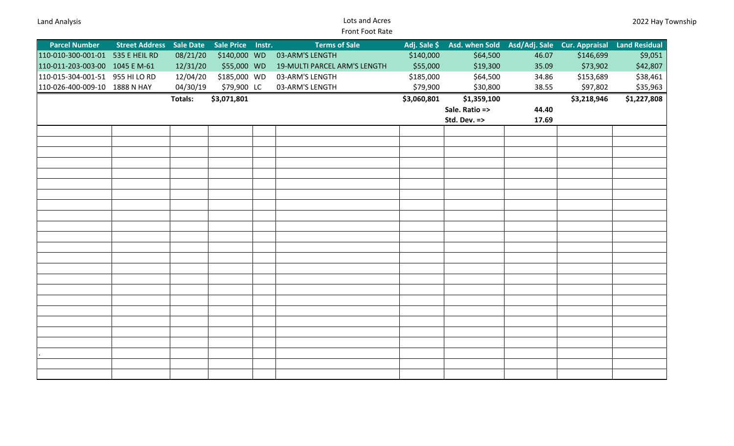## Land Analysis Lots and Acres Front Foot Rate

| <b>Parcel Number</b>             | <b>Street Address</b> Sale Date |                | Sale Price Instr. | <b>Terms of Sale</b>         | Adj. Sale \$ | Asd. when Sold Asd/Adj. Sale Cur. Appraisal |       |             | <b>Land Residual</b> |
|----------------------------------|---------------------------------|----------------|-------------------|------------------------------|--------------|---------------------------------------------|-------|-------------|----------------------|
| 110-010-300-001-01 535 E HEIL RD |                                 | 08/21/20       | \$140,000 WD      | 03-ARM'S LENGTH              | \$140,000    | \$64,500                                    | 46.07 | \$146,699   | \$9,051              |
| 110-011-203-003-00 1045 EM-61    |                                 | 12/31/20       | \$55,000 WD       | 19-MULTI PARCEL ARM'S LENGTH | \$55,000     | \$19,300                                    | 35.09 | \$73,902    | \$42,807             |
| 110-015-304-001-51 955 HI LO RD  |                                 | 12/04/20       | \$185,000 WD      | 03-ARM'S LENGTH              | \$185,000    | \$64,500                                    | 34.86 | \$153,689   | \$38,461             |
| 110-026-400-009-10 1888 N HAY    |                                 | 04/30/19       | \$79,900 LC       | 03-ARM'S LENGTH              | \$79,900     | \$30,800                                    | 38.55 | \$97,802    | \$35,963             |
|                                  |                                 | <b>Totals:</b> | \$3,071,801       |                              | \$3,060,801  | \$1,359,100                                 |       | \$3,218,946 | \$1,227,808          |
|                                  |                                 |                |                   |                              |              | Sale. Ratio =>                              | 44.40 |             |                      |
|                                  |                                 |                |                   |                              |              | Std. Dev. =>                                | 17.69 |             |                      |
|                                  |                                 |                |                   |                              |              |                                             |       |             |                      |
|                                  |                                 |                |                   |                              |              |                                             |       |             |                      |
|                                  |                                 |                |                   |                              |              |                                             |       |             |                      |
|                                  |                                 |                |                   |                              |              |                                             |       |             |                      |
|                                  |                                 |                |                   |                              |              |                                             |       |             |                      |
|                                  |                                 |                |                   |                              |              |                                             |       |             |                      |
|                                  |                                 |                |                   |                              |              |                                             |       |             |                      |
|                                  |                                 |                |                   |                              |              |                                             |       |             |                      |
|                                  |                                 |                |                   |                              |              |                                             |       |             |                      |
|                                  |                                 |                |                   |                              |              |                                             |       |             |                      |
|                                  |                                 |                |                   |                              |              |                                             |       |             |                      |
|                                  |                                 |                |                   |                              |              |                                             |       |             |                      |
|                                  |                                 |                |                   |                              |              |                                             |       |             |                      |
|                                  |                                 |                |                   |                              |              |                                             |       |             |                      |
|                                  |                                 |                |                   |                              |              |                                             |       |             |                      |
|                                  |                                 |                |                   |                              |              |                                             |       |             |                      |
|                                  |                                 |                |                   |                              |              |                                             |       |             |                      |
|                                  |                                 |                |                   |                              |              |                                             |       |             |                      |
|                                  |                                 |                |                   |                              |              |                                             |       |             |                      |
|                                  |                                 |                |                   |                              |              |                                             |       |             |                      |
|                                  |                                 |                |                   |                              |              |                                             |       |             |                      |
|                                  |                                 |                |                   |                              |              |                                             |       |             |                      |
|                                  |                                 |                |                   |                              |              |                                             |       |             |                      |
|                                  |                                 |                |                   |                              |              |                                             |       |             |                      |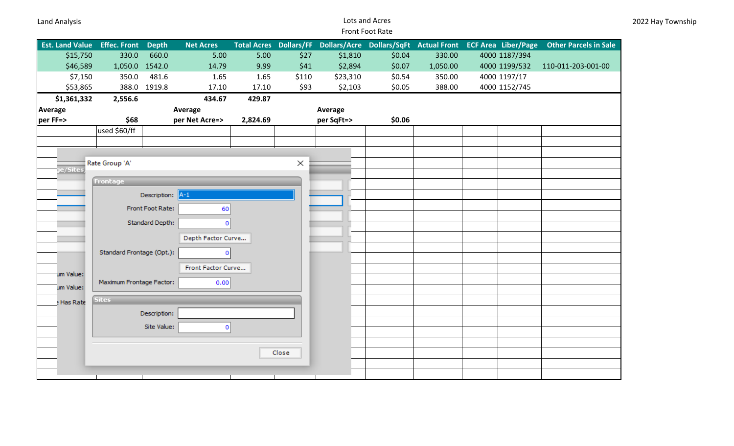## Land Analysis Lots and Acres Front Foot Rate

| \$15,750<br>330.0<br>660.0<br>5.00<br>5.00<br>\$27<br>330.00<br>4000 1187/394<br>\$1,810<br>\$0.04<br>\$46,589<br>1,050.0 1542.0<br>9.99<br>\$41<br>\$2,894<br>14.79<br>\$0.07<br>1,050.00<br>4000 1199/532<br>110-011-203-001-00<br>481.6<br>\$7,150<br>350.0<br>1.65<br>\$110<br>\$23,310<br>\$0.54<br>350.00<br>4000 1197/17<br>1.65<br>\$53,865<br>388.0<br>1919.8<br>17.10<br>17.10<br>\$93<br>\$2,103<br>\$0.05<br>388.00<br>4000 1152/745<br>\$1,361,332<br>434.67<br>429.87<br>2,556.6<br>Average<br>Average<br>Average<br>\$68<br>\$0.06<br>per FF=><br>per Net Acre=><br>2,824.69<br>per SqFt=><br>used \$60/ff<br>Rate Group 'A'<br>$\times$<br>ge/Sites<br><b>Frontage</b><br>Description: A-1<br>Front Foot Rate:<br>60<br>Standard Depth:<br>$\mathbf 0$<br>Depth Factor Curve<br>Standard Frontage (Opt.):<br>$^{\circ}$<br>Front Factor Curve<br>um Value:<br>Maximum Frontage Factor:<br>0.00<br>um Value:<br><b>Sites</b><br>e Has Rate<br>Description:<br>Site Value:<br>$\mathbf 0$<br>Close | <b>Est. Land Value Effec. Front</b> | <b>Depth</b> | <b>Net Acres</b> |  |  | Total Acres Dollars/FF Dollars/Acre Dollars/SqFt Actual Front ECF Area Liber/Page | <b>Other Parcels in Sale</b> |
|------------------------------------------------------------------------------------------------------------------------------------------------------------------------------------------------------------------------------------------------------------------------------------------------------------------------------------------------------------------------------------------------------------------------------------------------------------------------------------------------------------------------------------------------------------------------------------------------------------------------------------------------------------------------------------------------------------------------------------------------------------------------------------------------------------------------------------------------------------------------------------------------------------------------------------------------------------------------------------------------------------------|-------------------------------------|--------------|------------------|--|--|-----------------------------------------------------------------------------------|------------------------------|
|                                                                                                                                                                                                                                                                                                                                                                                                                                                                                                                                                                                                                                                                                                                                                                                                                                                                                                                                                                                                                  |                                     |              |                  |  |  |                                                                                   |                              |
|                                                                                                                                                                                                                                                                                                                                                                                                                                                                                                                                                                                                                                                                                                                                                                                                                                                                                                                                                                                                                  |                                     |              |                  |  |  |                                                                                   |                              |
|                                                                                                                                                                                                                                                                                                                                                                                                                                                                                                                                                                                                                                                                                                                                                                                                                                                                                                                                                                                                                  |                                     |              |                  |  |  |                                                                                   |                              |
|                                                                                                                                                                                                                                                                                                                                                                                                                                                                                                                                                                                                                                                                                                                                                                                                                                                                                                                                                                                                                  |                                     |              |                  |  |  |                                                                                   |                              |
|                                                                                                                                                                                                                                                                                                                                                                                                                                                                                                                                                                                                                                                                                                                                                                                                                                                                                                                                                                                                                  |                                     |              |                  |  |  |                                                                                   |                              |
|                                                                                                                                                                                                                                                                                                                                                                                                                                                                                                                                                                                                                                                                                                                                                                                                                                                                                                                                                                                                                  |                                     |              |                  |  |  |                                                                                   |                              |
|                                                                                                                                                                                                                                                                                                                                                                                                                                                                                                                                                                                                                                                                                                                                                                                                                                                                                                                                                                                                                  |                                     |              |                  |  |  |                                                                                   |                              |
|                                                                                                                                                                                                                                                                                                                                                                                                                                                                                                                                                                                                                                                                                                                                                                                                                                                                                                                                                                                                                  |                                     |              |                  |  |  |                                                                                   |                              |
|                                                                                                                                                                                                                                                                                                                                                                                                                                                                                                                                                                                                                                                                                                                                                                                                                                                                                                                                                                                                                  |                                     |              |                  |  |  |                                                                                   |                              |
|                                                                                                                                                                                                                                                                                                                                                                                                                                                                                                                                                                                                                                                                                                                                                                                                                                                                                                                                                                                                                  |                                     |              |                  |  |  |                                                                                   |                              |
|                                                                                                                                                                                                                                                                                                                                                                                                                                                                                                                                                                                                                                                                                                                                                                                                                                                                                                                                                                                                                  |                                     |              |                  |  |  |                                                                                   |                              |
|                                                                                                                                                                                                                                                                                                                                                                                                                                                                                                                                                                                                                                                                                                                                                                                                                                                                                                                                                                                                                  |                                     |              |                  |  |  |                                                                                   |                              |
|                                                                                                                                                                                                                                                                                                                                                                                                                                                                                                                                                                                                                                                                                                                                                                                                                                                                                                                                                                                                                  |                                     |              |                  |  |  |                                                                                   |                              |
|                                                                                                                                                                                                                                                                                                                                                                                                                                                                                                                                                                                                                                                                                                                                                                                                                                                                                                                                                                                                                  |                                     |              |                  |  |  |                                                                                   |                              |
|                                                                                                                                                                                                                                                                                                                                                                                                                                                                                                                                                                                                                                                                                                                                                                                                                                                                                                                                                                                                                  |                                     |              |                  |  |  |                                                                                   |                              |
|                                                                                                                                                                                                                                                                                                                                                                                                                                                                                                                                                                                                                                                                                                                                                                                                                                                                                                                                                                                                                  |                                     |              |                  |  |  |                                                                                   |                              |
|                                                                                                                                                                                                                                                                                                                                                                                                                                                                                                                                                                                                                                                                                                                                                                                                                                                                                                                                                                                                                  |                                     |              |                  |  |  |                                                                                   |                              |
|                                                                                                                                                                                                                                                                                                                                                                                                                                                                                                                                                                                                                                                                                                                                                                                                                                                                                                                                                                                                                  |                                     |              |                  |  |  |                                                                                   |                              |
|                                                                                                                                                                                                                                                                                                                                                                                                                                                                                                                                                                                                                                                                                                                                                                                                                                                                                                                                                                                                                  |                                     |              |                  |  |  |                                                                                   |                              |
|                                                                                                                                                                                                                                                                                                                                                                                                                                                                                                                                                                                                                                                                                                                                                                                                                                                                                                                                                                                                                  |                                     |              |                  |  |  |                                                                                   |                              |
|                                                                                                                                                                                                                                                                                                                                                                                                                                                                                                                                                                                                                                                                                                                                                                                                                                                                                                                                                                                                                  |                                     |              |                  |  |  |                                                                                   |                              |
|                                                                                                                                                                                                                                                                                                                                                                                                                                                                                                                                                                                                                                                                                                                                                                                                                                                                                                                                                                                                                  |                                     |              |                  |  |  |                                                                                   |                              |
|                                                                                                                                                                                                                                                                                                                                                                                                                                                                                                                                                                                                                                                                                                                                                                                                                                                                                                                                                                                                                  |                                     |              |                  |  |  |                                                                                   |                              |
|                                                                                                                                                                                                                                                                                                                                                                                                                                                                                                                                                                                                                                                                                                                                                                                                                                                                                                                                                                                                                  |                                     |              |                  |  |  |                                                                                   |                              |
|                                                                                                                                                                                                                                                                                                                                                                                                                                                                                                                                                                                                                                                                                                                                                                                                                                                                                                                                                                                                                  |                                     |              |                  |  |  |                                                                                   |                              |
|                                                                                                                                                                                                                                                                                                                                                                                                                                                                                                                                                                                                                                                                                                                                                                                                                                                                                                                                                                                                                  |                                     |              |                  |  |  |                                                                                   |                              |
|                                                                                                                                                                                                                                                                                                                                                                                                                                                                                                                                                                                                                                                                                                                                                                                                                                                                                                                                                                                                                  |                                     |              |                  |  |  |                                                                                   |                              |
|                                                                                                                                                                                                                                                                                                                                                                                                                                                                                                                                                                                                                                                                                                                                                                                                                                                                                                                                                                                                                  |                                     |              |                  |  |  |                                                                                   |                              |
|                                                                                                                                                                                                                                                                                                                                                                                                                                                                                                                                                                                                                                                                                                                                                                                                                                                                                                                                                                                                                  |                                     |              |                  |  |  |                                                                                   |                              |
|                                                                                                                                                                                                                                                                                                                                                                                                                                                                                                                                                                                                                                                                                                                                                                                                                                                                                                                                                                                                                  |                                     |              |                  |  |  |                                                                                   |                              |